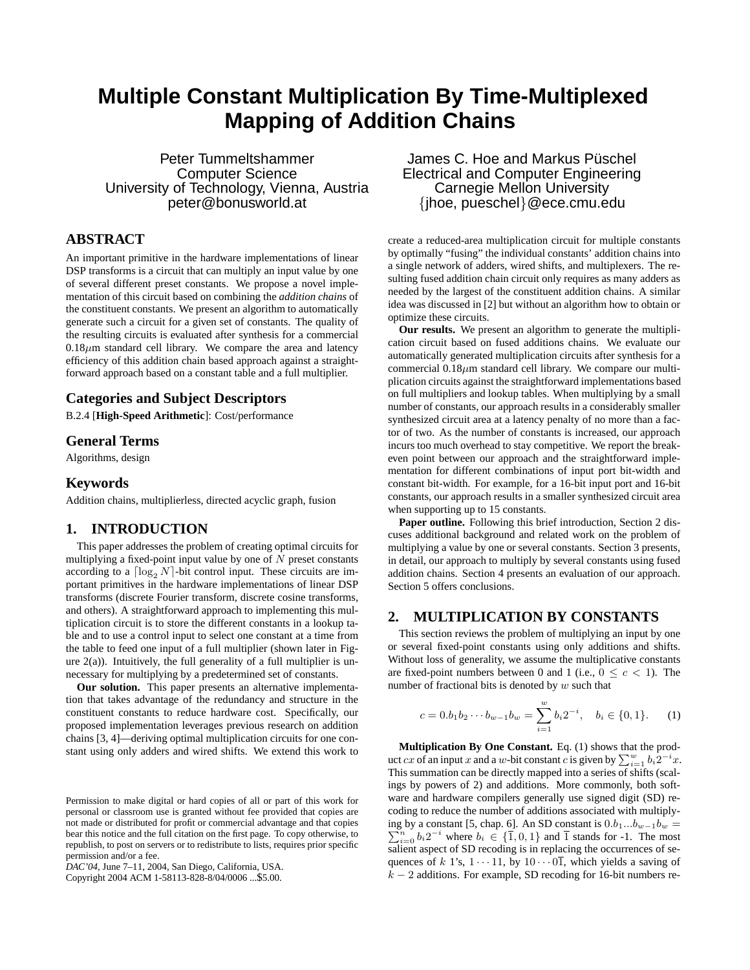# **Multiple Constant Multiplication By Time-Multiplexed Mapping of Addition Chains**

Peter Tummeltshammer Computer Science University of Technology, Vienna, Austria peter@bonusworld.at

# **ABSTRACT**

An important primitive in the hardware implementations of linear DSP transforms is a circuit that can multiply an input value by one of several different preset constants. We propose a novel implementation of this circuit based on combining the *addition chains* of the constituent constants. We present an algorithm to automatically generate such a circuit for a given set of constants. The quality of the resulting circuits is evaluated after synthesis for a commercial  $0.18\mu$ m standard cell library. We compare the area and latency efficiency of this addition chain based approach against a straightforward approach based on a constant table and a full multiplier.

# **Categories and Subject Descriptors**

B.2.4 [**High-Speed Arithmetic**]: Cost/performance

## **General Terms**

Algorithms, design

## **Keywords**

Addition chains, multiplierless, directed acyclic graph, fusion

## **1. INTRODUCTION**

This paper addresses the problem of creating optimal circuits for multiplying a fixed-point input value by one of  $N$  preset constants according to a  $\lceil \log_2 N \rceil$ -bit control input. These circuits are important primitives in the hardware implementations of linear DSP transforms (discrete Fourier transform, discrete cosine transforms, and others). A straightforward approach to implementing this multiplication circuit is to store the different constants in a lookup table and to use a control input to select one constant at a time from the table to feed one input of a full multiplier (shown later in Figure  $2(a)$ ). Intuitively, the full generality of a full multiplier is unnecessary for multiplying by a predetermined set of constants.

**Our solution.** This paper presents an alternative implementation that takes advantage of the redundancy and structure in the constituent constants to reduce hardware cost. Specifically, our proposed implementation leverages previous research on addition chains [3, 4]—deriving optimal multiplication circuits for one constant using only adders and wired shifts. We extend this work to

Copyright 2004 ACM 1-58113-828-8/04/0006 ...\$5.00.

James C. Hoe and Markus Püschel Electrical and Computer Engineering Carnegie Mellon University {jhoe, pueschel}@ece.cmu.edu

create a reduced-area multiplication circuit for multiple constants by optimally "fusing" the individual constants' addition chains into a single network of adders, wired shifts, and multiplexers. The resulting fused addition chain circuit only requires as many adders as needed by the largest of the constituent addition chains. A similar idea was discussed in [2] but without an algorithm how to obtain or optimize these circuits.

**Our results.** We present an algorithm to generate the multiplication circuit based on fused additions chains. We evaluate our automatically generated multiplication circuits after synthesis for a commercial  $0.18\mu$ m standard cell library. We compare our multiplication circuits against the straightforward implementations based on full multipliers and lookup tables. When multiplying by a small number of constants, our approach results in a considerably smaller synthesized circuit area at a latency penalty of no more than a factor of two. As the number of constants is increased, our approach incurs too much overhead to stay competitive. We report the breakeven point between our approach and the straightforward implementation for different combinations of input port bit-width and constant bit-width. For example, for a 16-bit input port and 16-bit constants, our approach results in a smaller synthesized circuit area when supporting up to 15 constants.

**Paper outline.** Following this brief introduction, Section 2 discuses additional background and related work on the problem of multiplying a value by one or several constants. Section 3 presents, in detail, our approach to multiply by several constants using fused addition chains. Section 4 presents an evaluation of our approach. Section 5 offers conclusions.

## **2. MULTIPLICATION BY CONSTANTS**

This section reviews the problem of multiplying an input by one or several fixed-point constants using only additions and shifts. Without loss of generality, we assume the multiplicative constants are fixed-point numbers between 0 and 1 (i.e.,  $0 \leq c \leq 1$ ). The number of fractional bits is denoted by  $w$  such that

$$
c = 0.b_1b_2\cdots b_{w-1}b_w = \sum_{i=1}^w b_i 2^{-i}, \quad b_i \in \{0, 1\}.
$$
 (1)

**Multiplication By One Constant.** Eq. (1) shows that the product cx of an input x and a w-bit constant c is given by  $\sum_{i=1}^{w} b_i 2^{-i}x$ . This summation can be directly mapped into a series of shifts (scalings by powers of 2) and additions. More commonly, both software and hardware compilers generally use signed digit (SD) recoding to reduce the number of additions associated with multiply- $\sum_{i=0}^{n} b_i 2^{-i}$  where  $b_i \in \{\overline{1}, 0, 1\}$  and  $\overline{1}$  stands for -1. The most ing by a constant [5, chap. 6]. An SD constant is  $0.b_1...b_{w-1}b_w =$ salient aspect of SD recoding is in replacing the occurrences of sequences of k 1's,  $1 \cdot \cdot \cdot 11$ , by  $10 \cdot \cdot \cdot 01$ , which yields a saving of  $k - 2$  additions. For example, SD recoding for 16-bit numbers re-

Permission to make digital or hard copies of all or part of this work for personal or classroom use is granted without fee provided that copies are not made or distributed for profit or commercial advantage and that copies bear this notice and the full citation on the first page. To copy otherwise, to republish, to post on servers or to redistribute to lists, requires prior specific permission and/or a fee.

*DAC'04,* June 7–11, 2004, San Diego, California, USA.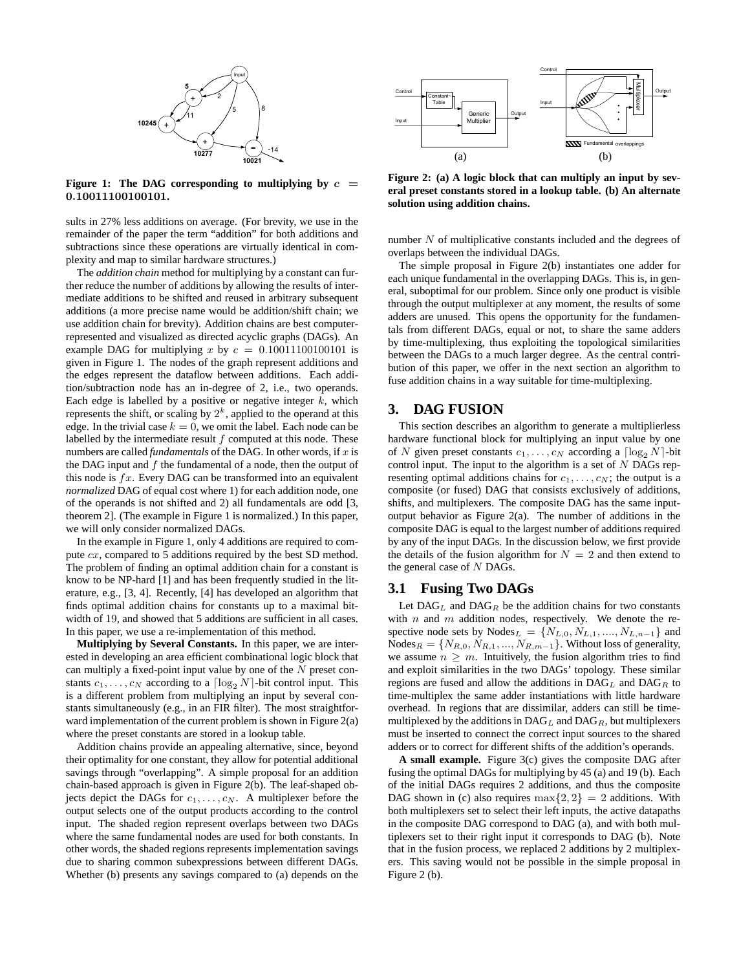

**Figure** 1: The DAG corresponding to multiplying by  $c =$ 0.10011100100101**.**

sults in 27% less additions on average. (For brevity, we use in the remainder of the paper the term "addition" for both additions and subtractions since these operations are virtually identical in complexity and map to similar hardware structures.)

The *addition chain* method for multiplying by a constant can further reduce the number of additions by allowing the results of intermediate additions to be shifted and reused in arbitrary subsequent additions (a more precise name would be addition/shift chain; we use addition chain for brevity). Addition chains are best computerrepresented and visualized as directed acyclic graphs (DAGs). An example DAG for multiplying x by  $c = 0.10011100100101$  is given in Figure 1. The nodes of the graph represent additions and the edges represent the dataflow between additions. Each addition/subtraction node has an in-degree of 2, i.e., two operands. Each edge is labelled by a positive or negative integer  $k$ , which represents the shift, or scaling by  $2^k$ , applied to the operand at this edge. In the trivial case  $k = 0$ , we omit the label. Each node can be labelled by the intermediate result  $f$  computed at this node. These numbers are called *fundamentals* of the DAG. In other words, if  $x$  is the DAG input and  $f$  the fundamental of a node, then the output of this node is  $fx$ . Every DAG can be transformed into an equivalent *normalized* DAG of equal cost where 1) for each addition node, one of the operands is not shifted and 2) all fundamentals are odd [3, theorem 2]. (The example in Figure 1 is normalized.) In this paper, we will only consider normalized DAGs.

In the example in Figure 1, only 4 additions are required to compute cx, compared to 5 additions required by the best SD method. The problem of finding an optimal addition chain for a constant is know to be NP-hard [1] and has been frequently studied in the literature, e.g., [3, 4]. Recently, [4] has developed an algorithm that finds optimal addition chains for constants up to a maximal bitwidth of 19, and showed that 5 additions are sufficient in all cases. In this paper, we use a re-implementation of this method.

**Multiplying by Several Constants.** In this paper, we are interested in developing an area efficient combinational logic block that can multiply a fixed-point input value by one of the  $N$  preset constants  $c_1, \ldots, c_N$  according to a  $\lceil \log_2 N \rceil$ -bit control input. This is a different problem from multiplying an input by several constants simultaneously (e.g., in an FIR filter). The most straightforward implementation of the current problem is shown in Figure  $2(a)$ where the preset constants are stored in a lookup table.

Addition chains provide an appealing alternative, since, beyond their optimality for one constant, they allow for potential additional savings through "overlapping". A simple proposal for an addition chain-based approach is given in Figure 2(b). The leaf-shaped objects depict the DAGs for  $c_1, \ldots, c_N$ . A multiplexer before the output selects one of the output products according to the control input. The shaded region represent overlaps between two DAGs where the same fundamental nodes are used for both constants. In other words, the shaded regions represents implementation savings due to sharing common subexpressions between different DAGs. Whether (b) presents any savings compared to (a) depends on the



**Figure 2: (a) A logic block that can multiply an input by several preset constants stored in a lookup table. (b) An alternate solution using addition chains.**

number N of multiplicative constants included and the degrees of overlaps between the individual DAGs.

The simple proposal in Figure 2(b) instantiates one adder for each unique fundamental in the overlapping DAGs. This is, in general, suboptimal for our problem. Since only one product is visible through the output multiplexer at any moment, the results of some adders are unused. This opens the opportunity for the fundamentals from different DAGs, equal or not, to share the same adders by time-multiplexing, thus exploiting the topological similarities between the DAGs to a much larger degree. As the central contribution of this paper, we offer in the next section an algorithm to fuse addition chains in a way suitable for time-multiplexing.

#### **3. DAG FUSION**

This section describes an algorithm to generate a multiplierless hardware functional block for multiplying an input value by one of N given preset constants  $c_1, \ldots, c_N$  according a  $\lceil \log_2 N \rceil$ -bit control input. The input to the algorithm is a set of  $N$  DAGs representing optimal additions chains for  $c_1, \ldots, c_N$ ; the output is a composite (or fused) DAG that consists exclusively of additions, shifts, and multiplexers. The composite DAG has the same inputoutput behavior as Figure 2(a). The number of additions in the composite DAG is equal to the largest number of additions required by any of the input DAGs. In the discussion below, we first provide the details of the fusion algorithm for  $N = 2$  and then extend to the general case of N DAGs.

#### **3.1 Fusing Two DAGs**

Let  $\text{DAG}_L$  and  $\text{DAG}_R$  be the addition chains for two constants with  $n$  and  $m$  addition nodes, respectively. We denote the respective node sets by Nodes<sub>L</sub> = { $N_{L,0}, N_{L,1}, ..., N_{L,n-1}$ } and  $\text{Nodes}_R = \{N_{R,0}, N_{R,1}, ..., N_{R,m-1}\}.$  Without loss of generality, we assume  $n \geq m$ . Intuitively, the fusion algorithm tries to find and exploit similarities in the two DAGs' topology. These similar regions are fused and allow the additions in  $DAG_L$  and  $DAG_R$  to time-multiplex the same adder instantiations with little hardware overhead. In regions that are dissimilar, adders can still be timemultiplexed by the additions in  $DAG_L$  and  $DAG_R$ , but multiplexers must be inserted to connect the correct input sources to the shared adders or to correct for different shifts of the addition's operands.

**A small example.** Figure 3(c) gives the composite DAG after fusing the optimal DAGs for multiplying by 45 (a) and 19 (b). Each of the initial DAGs requires 2 additions, and thus the composite DAG shown in (c) also requires  $\max\{2, 2\} = 2$  additions. With both multiplexers set to select their left inputs, the active datapaths in the composite DAG correspond to DAG (a), and with both multiplexers set to their right input it corresponds to DAG (b). Note that in the fusion process, we replaced 2 additions by 2 multiplexers. This saving would not be possible in the simple proposal in Figure 2 (b).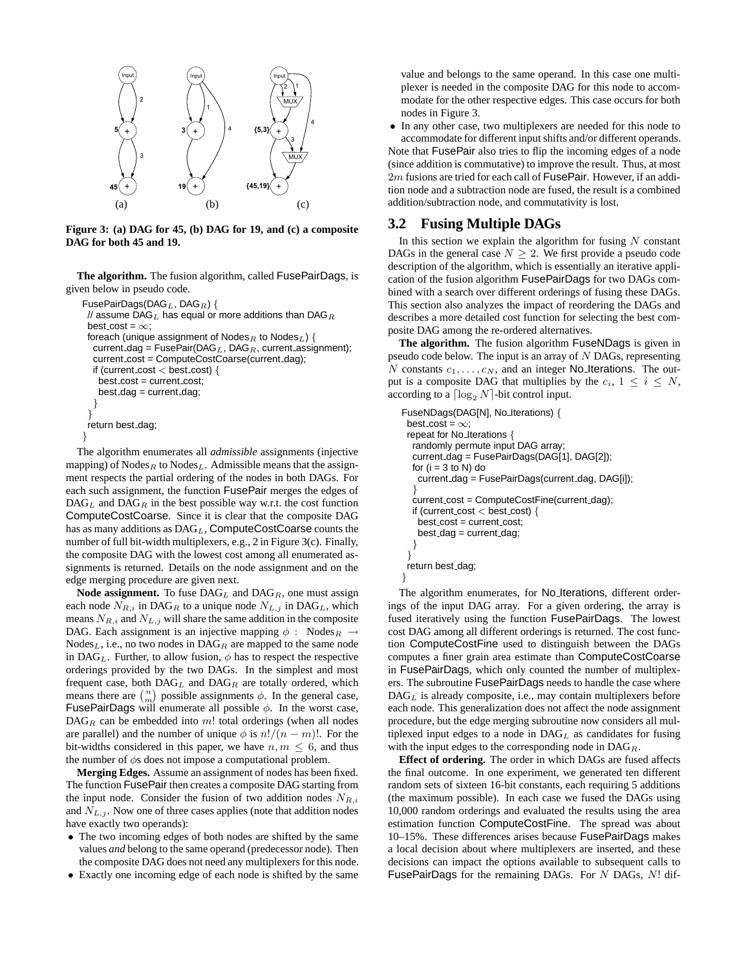

**Figure 3: (a) DAG for 45, (b) DAG for 19, and (c) a composite DAG for both 45 and 19.**

**The algorithm.** The fusion algorithm, called FusePairDags, is given below in pseudo code.

```
FusePairDags(DAG_L, DAG_R) {
// assume DAG<sub>L</sub> has equal or more additions than DAG<sub>R</sub>
 best cost = \infty;
 foreach (unique assignment of Nodes_R to Nodes_L) {
  current dag = FusePair(\text{DAG}_L, \text{DAG}_R, current assignment);
  current cost = ComputeCostCoarse(current dag);
  if (current cost < best cost) {
   best\_cost = current\_cost;best dag = current dag;
  }
 }
return best dag;
}
```
The algorithm enumerates all *admissible* assignments (injective mapping) of  $\text{Nodes}_R$  to  $\text{Nodes}_L$ . Admissible means that the assignment respects the partial ordering of the nodes in both DAGs. For each such assignment, the function FusePair merges the edges of  $\text{DAG}_L$  and  $\text{DAG}_R$  in the best possible way w.r.t. the cost function ComputeCostCoarse. Since it is clear that the composite DAG has as many additions as  $DAG<sub>L</sub>$ , ComputeCostCoarse counts the number of full bit-width multiplexers, e.g., 2 in Figure 3(c). Finally, the composite DAG with the lowest cost among all enumerated assignments is returned. Details on the node assignment and on the edge merging procedure are given next.

**Node assignment.** To fuse  $\text{DAG}_L$  and  $\text{DAG}_R$ , one must assign each node  $N_{R,i}$  in DAG<sub>R</sub> to a unique node  $N_{L,j}$  in DAG<sub>L</sub>, which means  $N_{R,i}$  and  $N_{L,j}$  will share the same addition in the composite DAG. Each assignment is an injective mapping  $\phi$  : Nodes  $\mathbb{R} \to$  $\text{Nodes}_L$ , i.e., no two nodes in  $\text{DAG}_R$  are mapped to the same node in DAG<sub>L</sub>. Further, to allow fusion,  $\phi$  has to respect the respective orderings provided by the two DAGs. In the simplest and most frequent case, both  $\text{DAG}_L$  and  $\text{DAG}_R$  are totally ordered, which means there are  $\binom{n}{m}$  possible assignments  $\phi$ . In the general case, FusePairDags will enumerate all possible  $\phi$ . In the worst case,  $\text{DAG}_R$  can be embedded into m! total orderings (when all nodes are parallel) and the number of unique  $\phi$  is  $n!/(n-m)!$ . For the bit-widths considered in this paper, we have  $n, m \leq 6$ , and thus the number of  $\phi$ s does not impose a computational problem.

**Merging Edges.** Assume an assignment of nodes has been fixed. The function FusePair then creates a composite DAG starting from the input node. Consider the fusion of two addition nodes  $N_{R,i}$ and  $N_{L,j}$ . Now one of three cases applies (note that addition nodes have exactly two operands):

- The two incoming edges of both nodes are shifted by the same values *and* belong to the same operand (predecessor node). Then the composite DAG does not need any multiplexers for this node.
- Exactly one incoming edge of each node is shifted by the same

value and belongs to the same operand. In this case one multiplexer is needed in the composite DAG for this node to accommodate for the other respective edges. This case occurs for both nodes in Figure 3.

• In any other case, two multiplexers are needed for this node to accommodate for different inputshifts and/or different operands. Note that FusePair also tries to flip the incoming edges of a node (since addition is commutative) to improve the result. Thus, at most  $2m$  fusions are tried for each call of FusePair. However, if an addition node and a subtraction node are fused, the result is a combined addition/subtraction node, and commutativity is lost.

### **3.2 Fusing Multiple DAGs**

In this section we explain the algorithm for fusing  $N$  constant DAGs in the general case  $N \geq 2$ . We first provide a pseudo code description of the algorithm, which is essentially an iterative application of the fusion algorithm FusePairDags for two DAGs combined with a search over different orderings of fusing these DAGs. This section also analyzes the impact of reordering the DAGs and describes a more detailed cost function for selecting the best composite DAG among the re-ordered alternatives.

**The algorithm.** The fusion algorithm FuseNDags is given in pseudo code below. The input is an array of N DAGs, representing N constants  $c_1, \ldots, c_N$ , and an integer No Iterations. The output is a composite DAG that multiplies by the  $c_i$ ,  $1 \le i \le N$ , according to a  $\lceil \log_2 N \rceil$ -bit control input.

```
FuseNDags(DAG[N], No Iterations) {
 best cost = \infty;
 repeat for No Iterations {
  randomly permute input DAG array;
  current dag = FusePairDags(DAG[1], DAG[2]);
  for (i = 3 to N) do
   current dag = FusePairDags(current dag, DAG[i]);
  }
  current cost = ComputeCostFine(current dag);
  if (current cost < best cost) {
   best\_cost = current\_cost;
   best dag = current dag;
  }
 }
 return best dag;
}
```
The algorithm enumerates, for No Iterations, different orderings of the input DAG array. For a given ordering, the array is fused iteratively using the function FusePairDags. The lowest cost DAG among all different orderings is returned. The cost function ComputeCostFine used to distinguish between the DAGs computes a finer grain area estimate than ComputeCostCoarse in FusePairDags, which only counted the number of multiplexers. The subroutine FusePairDags needs to handle the case where  $DAG<sub>L</sub>$  is already composite, i.e., may contain multiplexers before each node. This generalization does not affect the node assignment procedure, but the edge merging subroutine now considers all multiplexed input edges to a node in  $DAG<sub>L</sub>$  as candidates for fusing with the input edges to the corresponding node in  $\text{DAG}_R$ .

**Effect of ordering.** The order in which DAGs are fused affects the final outcome. In one experiment, we generated ten different random sets of sixteen 16-bit constants, each requiring 5 additions (the maximum possible). In each case we fused the DAGs using 10,000 random orderings and evaluated the results using the area estimation function ComputeCostFine. The spread was about 10–15%. These differences arises because FusePairDags makes a local decision about where multiplexers are inserted, and these decisions can impact the options available to subsequent calls to FusePairDags for the remaining DAGs. For N DAGs, N! dif-